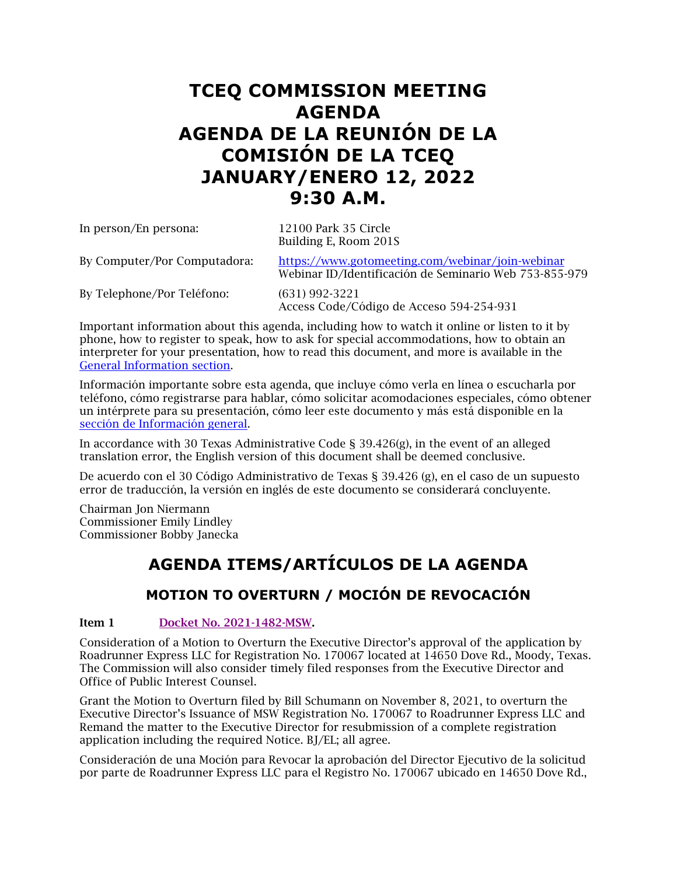# **TCEQ COMMISSION MEETING AGENDA AGENDA DE LA REUNIÓN DE LA COMISIÓN DE LA TCEQ JANUARY/ENERO 12, 2022 9:30 A.M.**

| In person/En persona:        | 12100 Park 35 Circle<br>Building E, Room 201S                                                              |
|------------------------------|------------------------------------------------------------------------------------------------------------|
| By Computer/Por Computadora: | https://www.gotomeeting.com/webinar/join-webinar<br>Webinar ID/Identificación de Seminario Web 753-855-979 |
| By Telephone/Por Teléfono:   | $(631)$ 992-3221<br>Access Code/Código de Acceso 594-254-931                                               |

Important information about this agenda, including how to watch it online or listen to it by phone, how to register to speak, how to ask for special accommodations, how to obtain an interpreter for your presentation, how to read this document, and more is available in the [General Information section.](#page-15-0)

Información importante sobre esta agenda, que incluye cómo verla en línea o escucharla por teléfono, cómo registrarse para hablar, cómo solicitar acomodaciones especiales, cómo obtener un intérprete para su presentación, cómo leer este documento y más está disponible en la [sección de Información general.](#page-15-0)

In accordance with 30 Texas Administrative Code  $\S$  39.426(g), in the event of an alleged translation error, the English version of this document shall be deemed conclusive.

De acuerdo con el 30 Código Administrativo de Texas § 39.426 (g), en el caso de un supuesto error de traducción, la versión en inglés de este documento se considerará concluyente.

Chairman Jon Niermann Commissioner Emily Lindley Commissioner Bobby Janecka

# **AGENDA ITEMS/ARTÍCULOS DE LA AGENDA**

# **MOTION TO OVERTURN / MOCIÓN DE REVOCACIÓN**

### **Item 1 [Docket No. 2021-1482-MSW.](https://www.tceq.texas.gov/downloads/agency/decisions/agendas/backup/2021/2021-1482-msw-index.pdf)**

Consideration of a Motion to Overturn the Executive Director's approval of the application by Roadrunner Express LLC for Registration No. 170067 located at 14650 Dove Rd., Moody, Texas. The Commission will also consider timely filed responses from the Executive Director and Office of Public Interest Counsel.

Grant the Motion to Overturn filed by Bill Schumann on November 8, 2021, to overturn the Executive Director's Issuance of MSW Registration No. 170067 to Roadrunner Express LLC and Remand the matter to the Executive Director for resubmission of a complete registration application including the required Notice. BJ/EL; all agree.

Consideración de una Moción para Revocar la aprobación del Director Ejecutivo de la solicitud por parte de Roadrunner Express LLC para el Registro No. 170067 ubicado en 14650 Dove Rd.,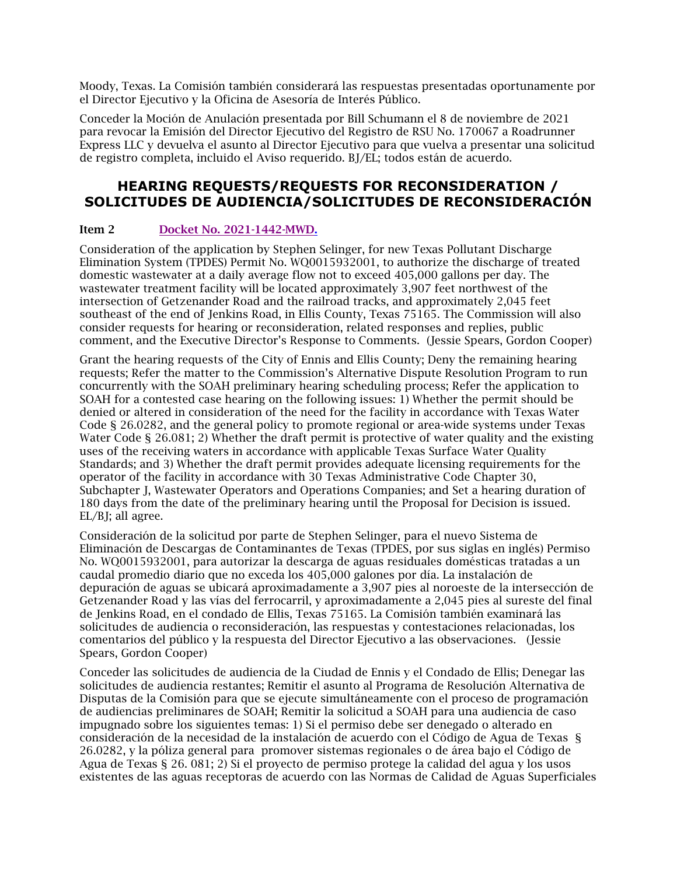Moody, Texas. La Comisión también considerará las respuestas presentadas oportunamente por el Director Ejecutivo y la Oficina de Asesoría de Interés Público.

Conceder la Moción de Anulación presentada por Bill Schumann el 8 de noviembre de 2021 para revocar la Emisión del Director Ejecutivo del Registro de RSU No. 170067 a Roadrunner Express LLC y devuelva el asunto al Director Ejecutivo para que vuelva a presentar una solicitud de registro completa, incluido el Aviso requerido. BJ/EL; todos están de acuerdo.

## **HEARING REQUESTS/REQUESTS FOR RECONSIDERATION / SOLICITUDES DE AUDIENCIA/SOLICITUDES DE RECONSIDERACIÓN**

### Item 2 [Docket No. 2021-1442-MWD.](https://www.tceq.texas.gov/downloads/agency/decisions/agendas/backup/2021/2021-1442-mwd-index.pdf)

Consideration of the application by Stephen Selinger, for new Texas Pollutant Discharge Elimination System (TPDES) Permit No. WQ0015932001, to authorize the discharge of treated domestic wastewater at a daily average flow not to exceed 405,000 gallons per day. The wastewater treatment facility will be located approximately 3,907 feet northwest of the intersection of Getzenander Road and the railroad tracks, and approximately 2,045 feet southeast of the end of Jenkins Road, in Ellis County, Texas 75165. The Commission will also consider requests for hearing or reconsideration, related responses and replies, public comment, and the Executive Director's Response to Comments. (Jessie Spears, Gordon Cooper)

Grant the hearing requests of the City of Ennis and Ellis County; Deny the remaining hearing requests; Refer the matter to the Commission's Alternative Dispute Resolution Program to run concurrently with the SOAH preliminary hearing scheduling process; Refer the application to SOAH for a contested case hearing on the following issues: 1) Whether the permit should be denied or altered in consideration of the need for the facility in accordance with Texas Water Code § 26.0282, and the general policy to promote regional or area-wide systems under Texas Water Code § 26.081; 2) Whether the draft permit is protective of water quality and the existing uses of the receiving waters in accordance with applicable Texas Surface Water Quality Standards; and 3) Whether the draft permit provides adequate licensing requirements for the operator of the facility in accordance with 30 Texas Administrative Code Chapter 30, Subchapter J, Wastewater Operators and Operations Companies; and Set a hearing duration of 180 days from the date of the preliminary hearing until the Proposal for Decision is issued. EL/BJ; all agree.

Consideración de la solicitud por parte de Stephen Selinger, para el nuevo Sistema de Eliminación de Descargas de Contaminantes de Texas (TPDES, por sus siglas en inglés) Permiso No. WQ0015932001, para autorizar la descarga de aguas residuales domésticas tratadas a un caudal promedio diario que no exceda los 405,000 galones por día. La instalación de depuración de aguas se ubicará aproximadamente a 3,907 pies al noroeste de la intersección de Getzenander Road y las vías del ferrocarril, y aproximadamente a 2,045 pies al sureste del final de Jenkins Road, en el condado de Ellis, Texas 75165. La Comisión también examinará las solicitudes de audiencia o reconsideración, las respuestas y contestaciones relacionadas, los comentarios del público y la respuesta del Director Ejecutivo a las observaciones. (Jessie Spears, Gordon Cooper)

Conceder las solicitudes de audiencia de la Ciudad de Ennis y el Condado de Ellis; Denegar las solicitudes de audiencia restantes; Remitir el asunto al Programa de Resolución Alternativa de Disputas de la Comisión para que se ejecute simultáneamente con el proceso de programación de audiencias preliminares de SOAH; Remitir la solicitud a SOAH para una audiencia de caso impugnado sobre los siguientes temas: 1) Si el permiso debe ser denegado o alterado en consideración de la necesidad de la instalación de acuerdo con el Código de Agua de Texas § 26.0282, y la póliza general para promover sistemas regionales o de área bajo el Código de Agua de Texas § 26. 081; 2) Si el proyecto de permiso protege la calidad del agua y los usos existentes de las aguas receptoras de acuerdo con las Normas de Calidad de Aguas Superficiales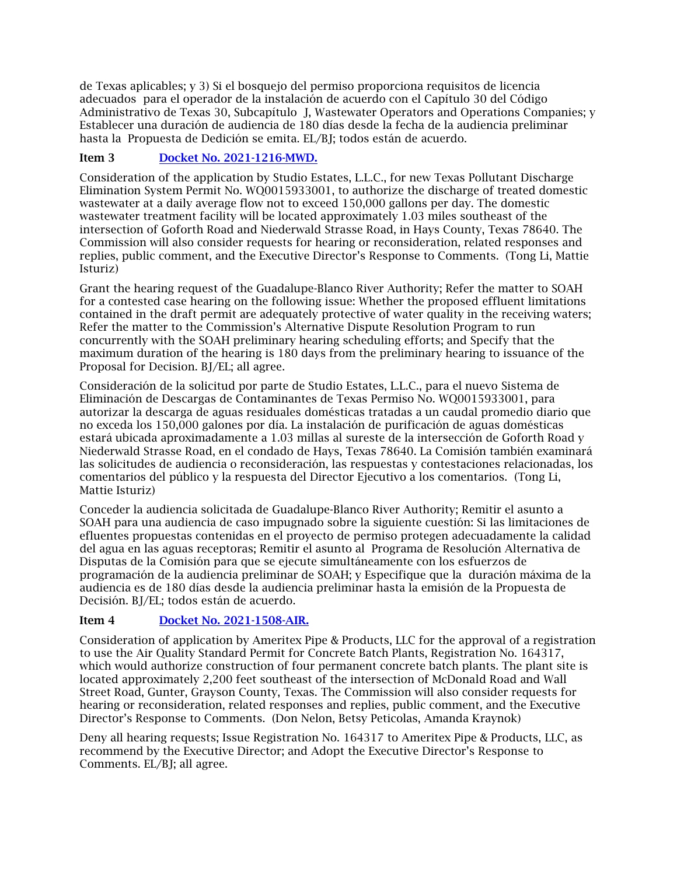de Texas aplicables; y 3) Si el bosquejo del permiso proporciona requisitos de licencia adecuados para el operador de la instalación de acuerdo con el Capítulo 30 del Código Administrativo de Texas 30, Subcapítulo J, Wastewater Operators and Operations Companies; y Establecer una duración de audiencia de 180 días desde la fecha de la audiencia preliminar hasta la Propuesta de Dedición se emita. EL/BJ; todos están de acuerdo.

### Item 3 [Docket No. 2021-1216-MWD.](https://www.tceq.texas.gov/downloads/agency/decisions/agendas/backup/2021/2021-1216-mwd-index.pdf)

Consideration of the application by Studio Estates, L.L.C., for new Texas Pollutant Discharge Elimination System Permit No. WQ0015933001, to authorize the discharge of treated domestic wastewater at a daily average flow not to exceed 150,000 gallons per day. The domestic wastewater treatment facility will be located approximately 1.03 miles southeast of the intersection of Goforth Road and Niederwald Strasse Road, in Hays County, Texas 78640. The Commission will also consider requests for hearing or reconsideration, related responses and replies, public comment, and the Executive Director's Response to Comments. (Tong Li, Mattie Isturiz)

Grant the hearing request of the Guadalupe-Blanco River Authority; Refer the matter to SOAH for a contested case hearing on the following issue: Whether the proposed effluent limitations contained in the draft permit are adequately protective of water quality in the receiving waters; Refer the matter to the Commission's Alternative Dispute Resolution Program to run concurrently with the SOAH preliminary hearing scheduling efforts; and Specify that the maximum duration of the hearing is 180 days from the preliminary hearing to issuance of the Proposal for Decision. BJ/EL; all agree.

Consideración de la solicitud por parte de Studio Estates, L.L.C., para el nuevo Sistema de Eliminación de Descargas de Contaminantes de Texas Permiso No. WQ0015933001, para autorizar la descarga de aguas residuales domésticas tratadas a un caudal promedio diario que no exceda los 150,000 galones por día. La instalación de purificación de aguas domésticas estará ubicada aproximadamente a 1.03 millas al sureste de la intersección de Goforth Road y Niederwald Strasse Road, en el condado de Hays, Texas 78640. La Comisión también examinará las solicitudes de audiencia o reconsideración, las respuestas y contestaciones relacionadas, los comentarios del público y la respuesta del Director Ejecutivo a los comentarios. (Tong Li, Mattie Isturiz)

Conceder la audiencia solicitada de Guadalupe-Blanco River Authority; Remitir el asunto a SOAH para una audiencia de caso impugnado sobre la siguiente cuestión: Si las limitaciones de efluentes propuestas contenidas en el proyecto de permiso protegen adecuadamente la calidad del agua en las aguas receptoras; Remitir el asunto al Programa de Resolución Alternativa de Disputas de la Comisión para que se ejecute simultáneamente con los esfuerzos de programación de la audiencia preliminar de SOAH; y Especifique que la duración máxima de la audiencia es de 180 días desde la audiencia preliminar hasta la emisión de la Propuesta de Decisión. BJ/EL; todos están de acuerdo.

### Item 4 [Docket No. 2021-1508-AIR.](https://www.tceq.texas.gov/downloads/agency/decisions/agendas/backup/2021/2021-1508-air-index.pdf)

Consideration of application by Ameritex Pipe & Products, LLC for the approval of a registration to use the Air Quality Standard Permit for Concrete Batch Plants, Registration No. 164317, which would authorize construction of four permanent concrete batch plants. The plant site is located approximately 2,200 feet southeast of the intersection of McDonald Road and Wall Street Road, Gunter, Grayson County, Texas. The Commission will also consider requests for hearing or reconsideration, related responses and replies, public comment, and the Executive Director's Response to Comments. (Don Nelon, Betsy Peticolas, Amanda Kraynok)

Deny all hearing requests; Issue Registration No. 164317 to Ameritex Pipe & Products, LLC, as recommend by the Executive Director; and Adopt the Executive Director's Response to Comments. EL/BJ; all agree.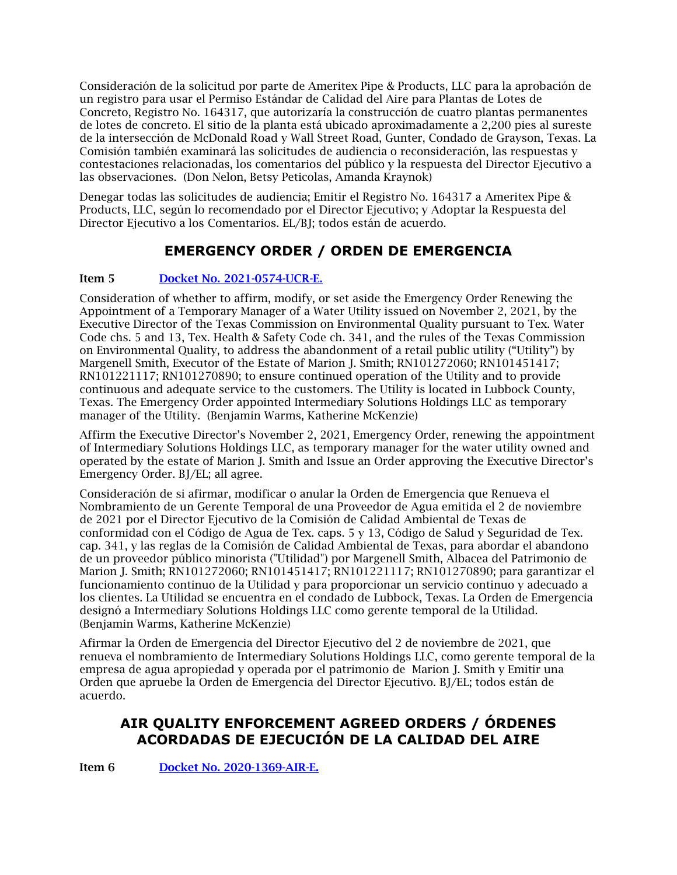Consideración de la solicitud por parte de Ameritex Pipe & Products, LLC para la aprobación de un registro para usar el Permiso Estándar de Calidad del Aire para Plantas de Lotes de Concreto, Registro No. 164317, que autorizaría la construcción de cuatro plantas permanentes de lotes de concreto. El sitio de la planta está ubicado aproximadamente a 2,200 pies al sureste de la intersección de McDonald Road y Wall Street Road, Gunter, Condado de Grayson, Texas. La Comisión también examinará las solicitudes de audiencia o reconsideración, las respuestas y contestaciones relacionadas, los comentarios del público y la respuesta del Director Ejecutivo a las observaciones. (Don Nelon, Betsy Peticolas, Amanda Kraynok)

Denegar todas las solicitudes de audiencia; Emitir el Registro No. 164317 a Ameritex Pipe & Products, LLC, según lo recomendado por el Director Ejecutivo; y Adoptar la Respuesta del Director Ejecutivo a los Comentarios. EL/BJ; todos están de acuerdo.

# **EMERGENCY ORDER / ORDEN DE EMERGENCIA**

### Item 5 Docket No. [2021-0574-UCR-E.](https://www.tceq.texas.gov/downloads/agency/decisions/agendas/backup/2021/2021-0574-ucr-e.pdf)

Consideration of whether to affirm, modify, or set aside the Emergency Order Renewing the Appointment of a Temporary Manager of a Water Utility issued on November 2, 2021, by the Executive Director of the Texas Commission on Environmental Quality pursuant to Tex. Water Code chs. 5 and 13, Tex. Health & Safety Code ch. 341, and the rules of the Texas Commission on Environmental Quality, to address the abandonment of a retail public utility ("Utility") by Margenell Smith, Executor of the Estate of Marion J. Smith; RN101272060; RN101451417; RN101221117; RN101270890; to ensure continued operation of the Utility and to provide continuous and adequate service to the customers. The Utility is located in Lubbock County, Texas. The Emergency Order appointed Intermediary Solutions Holdings LLC as temporary manager of the Utility. (Benjamin Warms, Katherine McKenzie)

Affirm the Executive Director's November 2, 2021, Emergency Order, renewing the appointment of Intermediary Solutions Holdings LLC, as temporary manager for the water utility owned and operated by the estate of Marion J. Smith and Issue an Order approving the Executive Director's Emergency Order. BJ/EL; all agree.

Consideración de si afirmar, modificar o anular la Orden de Emergencia que Renueva el Nombramiento de un Gerente Temporal de una Proveedor de Agua emitida el 2 de noviembre de 2021 por el Director Ejecutivo de la Comisión de Calidad Ambiental de Texas de conformidad con el Código de Agua de Tex. caps. 5 y 13, Código de Salud y Seguridad de Tex. cap. 341, y las reglas de la Comisión de Calidad Ambiental de Texas, para abordar el abandono de un proveedor público minorista ("Utilidad") por Margenell Smith, Albacea del Patrimonio de Marion J. Smith; RN101272060; RN101451417; RN101221117; RN101270890; para garantizar el funcionamiento continuo de la Utilidad y para proporcionar un servicio continuo y adecuado a los clientes. La Utilidad se encuentra en el condado de Lubbock, Texas. La Orden de Emergencia designó a Intermediary Solutions Holdings LLC como gerente temporal de la Utilidad. (Benjamin Warms, Katherine McKenzie)

Afirmar la Orden de Emergencia del Director Ejecutivo del 2 de noviembre de 2021, que renueva el nombramiento de Intermediary Solutions Holdings LLC, como gerente temporal de la empresa de agua apropiedad y operada por el patrimonio de Marion J. Smith y Emitir una Orden que apruebe la Orden de Emergencia del Director Ejecutivo. BJ/EL; todos están de acuerdo.

# **AIR QUALITY ENFORCEMENT AGREED ORDERS / ÓRDENES ACORDADAS DE EJECUCIÓN DE LA CALIDAD DEL AIRE**

Item 6 [Docket No. 2020-1369-AIR-E.](https://www.tceq.texas.gov/downloads/agency/decisions/agendas/backup/2020/2020-1369-air-e.pdf)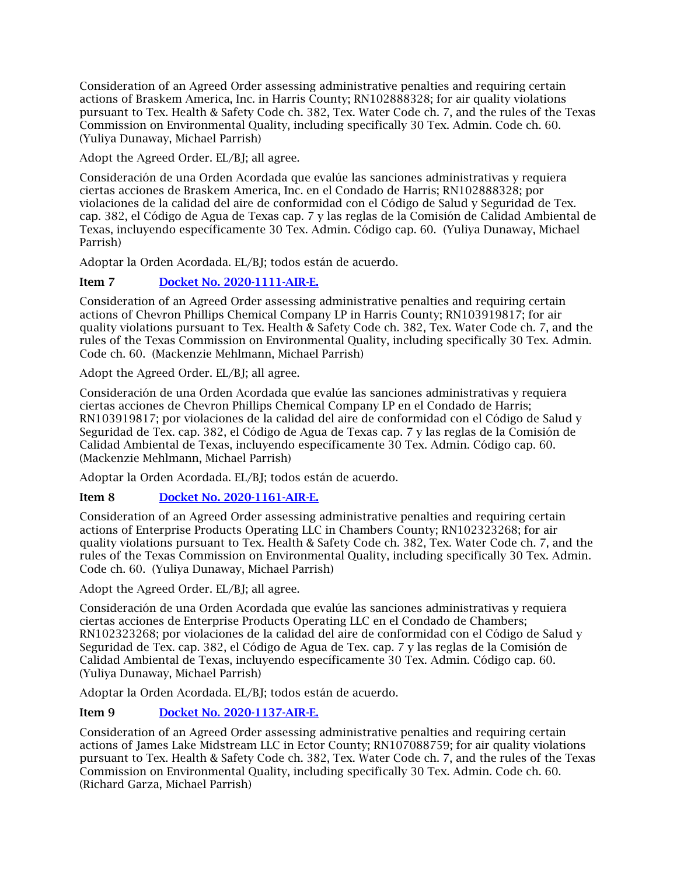Consideration of an Agreed Order assessing administrative penalties and requiring certain actions of Braskem America, Inc. in Harris County; RN102888328; for air quality violations pursuant to Tex. Health & Safety Code ch. 382, Tex. Water Code ch. 7, and the rules of the Texas Commission on Environmental Quality, including specifically 30 Tex. Admin. Code ch. 60. (Yuliya Dunaway, Michael Parrish)

Adopt the Agreed Order. EL/BJ; all agree.

Consideración de una Orden Acordada que evalúe las sanciones administrativas y requiera ciertas acciones de Braskem America, Inc. en el Condado de Harris; RN102888328; por violaciones de la calidad del aire de conformidad con el Código de Salud y Seguridad de Tex. cap. 382, el Código de Agua de Texas cap. 7 y las reglas de la Comisión de Calidad Ambiental de Texas, incluyendo específicamente 30 Tex. Admin. Código cap. 60. (Yuliya Dunaway, Michael Parrish)

Adoptar la Orden Acordada. EL/BJ; todos están de acuerdo.

### Item 7 [Docket No. 2020-1111-AIR-E.](https://www.tceq.texas.gov/downloads/agency/decisions/agendas/backup/2020/2020-1111-air-e.pdf)

Consideration of an Agreed Order assessing administrative penalties and requiring certain actions of Chevron Phillips Chemical Company LP in Harris County; RN103919817; for air quality violations pursuant to Tex. Health & Safety Code ch. 382, Tex. Water Code ch. 7, and the rules of the Texas Commission on Environmental Quality, including specifically 30 Tex. Admin. Code ch. 60. (Mackenzie Mehlmann, Michael Parrish)

Adopt the Agreed Order. EL/BJ; all agree.

Consideración de una Orden Acordada que evalúe las sanciones administrativas y requiera ciertas acciones de Chevron Phillips Chemical Company LP en el Condado de Harris; RN103919817; por violaciones de la calidad del aire de conformidad con el Código de Salud y Seguridad de Tex. cap. 382, el Código de Agua de Texas cap. 7 y las reglas de la Comisión de Calidad Ambiental de Texas, incluyendo específicamente 30 Tex. Admin. Código cap. 60. (Mackenzie Mehlmann, Michael Parrish)

Adoptar la Orden Acordada. EL/BJ; todos están de acuerdo.

### Item 8 [Docket No. 2020-1161-AIR-E.](https://www.tceq.texas.gov/downloads/agency/decisions/agendas/backup/2020/2020-1161-air-e.pdf)

Consideration of an Agreed Order assessing administrative penalties and requiring certain actions of Enterprise Products Operating LLC in Chambers County; RN102323268; for air quality violations pursuant to Tex. Health & Safety Code ch. 382, Tex. Water Code ch. 7, and the rules of the Texas Commission on Environmental Quality, including specifically 30 Tex. Admin. Code ch. 60. (Yuliya Dunaway, Michael Parrish)

Adopt the Agreed Order. EL/BJ; all agree.

Consideración de una Orden Acordada que evalúe las sanciones administrativas y requiera ciertas acciones de Enterprise Products Operating LLC en el Condado de Chambers; RN102323268; por violaciones de la calidad del aire de conformidad con el Código de Salud y Seguridad de Tex. cap. 382, el Código de Agua de Tex. cap. 7 y las reglas de la Comisión de Calidad Ambiental de Texas, incluyendo específicamente 30 Tex. Admin. Código cap. 60. (Yuliya Dunaway, Michael Parrish)

Adoptar la Orden Acordada. EL/BJ; todos están de acuerdo.

### Item 9 [Docket No. 2020-1137-AIR-E.](https://www.tceq.texas.gov/downloads/agency/decisions/agendas/backup/2020/2020-1137-air-e.pdf)

Consideration of an Agreed Order assessing administrative penalties and requiring certain actions of James Lake Midstream LLC in Ector County; RN107088759; for air quality violations pursuant to Tex. Health & Safety Code ch. 382, Tex. Water Code ch. 7, and the rules of the Texas Commission on Environmental Quality, including specifically 30 Tex. Admin. Code ch. 60. (Richard Garza, Michael Parrish)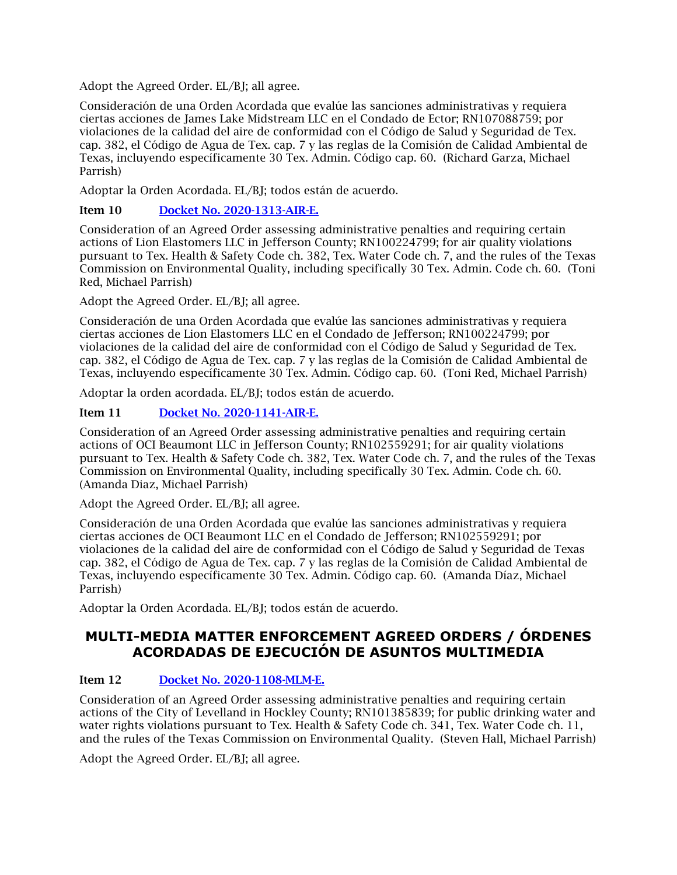Adopt the Agreed Order. EL/BJ; all agree.

Consideración de una Orden Acordada que evalúe las sanciones administrativas y requiera ciertas acciones de James Lake Midstream LLC en el Condado de Ector; RN107088759; por violaciones de la calidad del aire de conformidad con el Código de Salud y Seguridad de Tex. cap. 382, el Código de Agua de Tex. cap. 7 y las reglas de la Comisión de Calidad Ambiental de Texas, incluyendo específicamente 30 Tex. Admin. Código cap. 60. (Richard Garza, Michael Parrish)

Adoptar la Orden Acordada. EL/BJ; todos están de acuerdo.

### Item 10 Docket No. 2020-1313-AIR-E.

Consideration of an Agreed Order assessing administrative penalties and requiring certain actions of Lion Elastomers LLC in Jefferson County; RN100224799; for air quality violations pursuant to Tex. Health & Safety Code ch. 382, Tex. Water Code ch. 7, and the rules of the Texas Commission on Environmental Quality, including specifically 30 Tex. Admin. Code ch. 60. (Toni Red, Michael Parrish)

Adopt the Agreed Order. EL/BJ; all agree.

Consideración de una Orden Acordada que evalúe las sanciones administrativas y requiera ciertas acciones de Lion Elastomers LLC en el Condado de Jefferson; RN100224799; por violaciones de la calidad del aire de conformidad con el Código de Salud y Seguridad de Tex. cap. 382, el Código de Agua de Tex. cap. 7 y las reglas de la Comisión de Calidad Ambiental de Texas, incluyendo específicamente 30 Tex. Admin. Código cap. 60. (Toni Red, Michael Parrish)

Adoptar la orden acordada. EL/BJ; todos están de acuerdo.

### Item 11 [Docket No. 2020-1141-AIR-E.](https://www.tceq.texas.gov/downloads/agency/decisions/agendas/backup/2020/2020-1141-air-e.pdf)

Consideration of an Agreed Order assessing administrative penalties and requiring certain actions of OCI Beaumont LLC in Jefferson County; RN102559291; for air quality violations pursuant to Tex. Health & Safety Code ch. 382, Tex. Water Code ch. 7, and the rules of the Texas Commission on Environmental Quality, including specifically 30 Tex. Admin. Code ch. 60. (Amanda Diaz, Michael Parrish)

Adopt the Agreed Order. EL/BJ; all agree.

Consideración de una Orden Acordada que evalúe las sanciones administrativas y requiera ciertas acciones de OCI Beaumont LLC en el Condado de Jefferson; RN102559291; por violaciones de la calidad del aire de conformidad con el Código de Salud y Seguridad de Texas cap. 382, el Código de Agua de Tex. cap. 7 y las reglas de la Comisión de Calidad Ambiental de Texas, incluyendo específicamente 30 Tex. Admin. Código cap. 60. (Amanda Díaz, Michael Parrish)

Adoptar la Orden Acordada. EL/BJ; todos están de acuerdo.

### **MULTI-MEDIA MATTER ENFORCEMENT AGREED ORDERS / ÓRDENES ACORDADAS DE EJECUCIÓN DE ASUNTOS MULTIMEDIA**

### Item 12 [Docket No. 2020-1108-MLM-E.](https://www.tceq.texas.gov/downloads/agency/decisions/agendas/backup/2020/2020-1108-mlm-e.pdf)

Consideration of an Agreed Order assessing administrative penalties and requiring certain actions of the City of Levelland in Hockley County; RN101385839; for public drinking water and water rights violations pursuant to Tex. Health & Safety Code ch. 341, Tex. Water Code ch. 11, and the rules of the Texas Commission on Environmental Quality. (Steven Hall, Michael Parrish)

Adopt the Agreed Order. EL/BJ; all agree.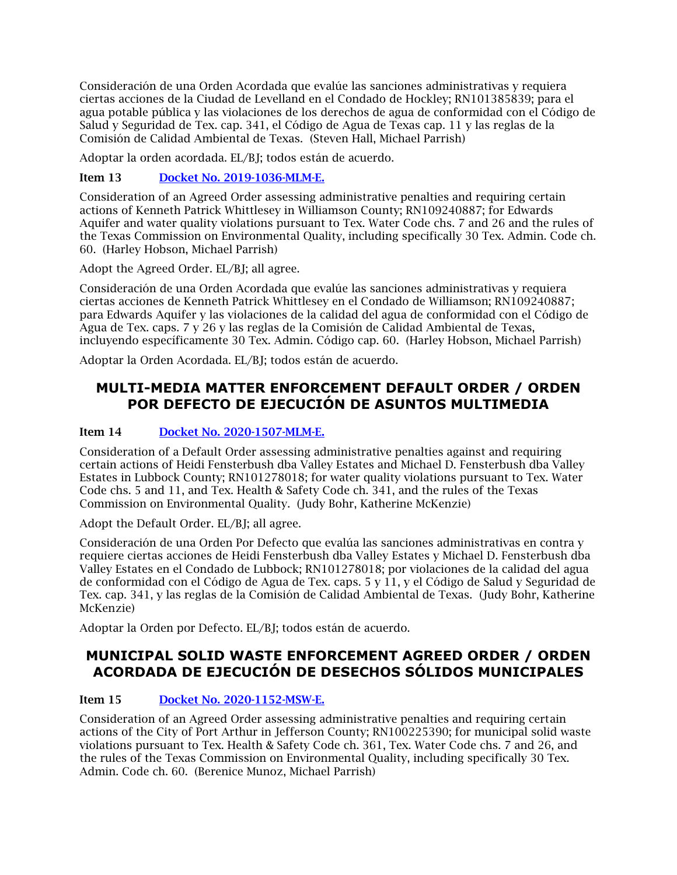Consideración de una Orden Acordada que evalúe las sanciones administrativas y requiera ciertas acciones de la Ciudad de Levelland en el Condado de Hockley; RN101385839; para el agua potable pública y las violaciones de los derechos de agua de conformidad con el Código de Salud y Seguridad de Tex. cap. 341, el Código de Agua de Texas cap. 11 y las reglas de la Comisión de Calidad Ambiental de Texas. (Steven Hall, Michael Parrish)

Adoptar la orden acordada. EL/BJ; todos están de acuerdo.

Item 13 [Docket No. 2019-1036-MLM-E.](https://www.tceq.texas.gov/downloads/agency/decisions/agendas/backup/2019/2019-1036-mlm-e.pdf)

Consideration of an Agreed Order assessing administrative penalties and requiring certain actions of Kenneth Patrick Whittlesey in Williamson County; RN109240887; for Edwards Aquifer and water quality violations pursuant to Tex. Water Code chs. 7 and 26 and the rules of the Texas Commission on Environmental Quality, including specifically 30 Tex. Admin. Code ch. 60. (Harley Hobson, Michael Parrish)

Adopt the Agreed Order. EL/BJ; all agree.

Consideración de una Orden Acordada que evalúe las sanciones administrativas y requiera ciertas acciones de Kenneth Patrick Whittlesey en el Condado de Williamson; RN109240887; para Edwards Aquifer y las violaciones de la calidad del agua de conformidad con el Código de Agua de Tex. caps. 7 y 26 y las reglas de la Comisión de Calidad Ambiental de Texas, incluyendo específicamente 30 Tex. Admin. Código cap. 60. (Harley Hobson, Michael Parrish)

Adoptar la Orden Acordada. EL/BJ; todos están de acuerdo.

## **MULTI-MEDIA MATTER ENFORCEMENT DEFAULT ORDER / ORDEN POR DEFECTO DE EJECUCIÓN DE ASUNTOS MULTIMEDIA**

### Item 14 [Docket No. 2020-1507-MLM-E.](https://www.tceq.texas.gov/downloads/agency/decisions/agendas/backup/2020/2020-1507-mlm-e.pdf)

Consideration of a Default Order assessing administrative penalties against and requiring certain actions of Heidi Fensterbush dba Valley Estates and Michael D. Fensterbush dba Valley Estates in Lubbock County; RN101278018; for water quality violations pursuant to Tex. Water Code chs. 5 and 11, and Tex. Health & Safety Code ch. 341, and the rules of the Texas Commission on Environmental Quality. (Judy Bohr, Katherine McKenzie)

Adopt the Default Order. EL/BJ; all agree.

Consideración de una Orden Por Defecto que evalúa las sanciones administrativas en contra y requiere ciertas acciones de Heidi Fensterbush dba Valley Estates y Michael D. Fensterbush dba Valley Estates en el Condado de Lubbock; RN101278018; por violaciones de la calidad del agua de conformidad con el Código de Agua de Tex. caps. 5 y 11, y el Código de Salud y Seguridad de Tex. cap. 341, y las reglas de la Comisión de Calidad Ambiental de Texas. (Judy Bohr, Katherine McKenzie)

Adoptar la Orden por Defecto. EL/BJ; todos están de acuerdo.

# **MUNICIPAL SOLID WASTE ENFORCEMENT AGREED ORDER / ORDEN ACORDADA DE EJECUCIÓN DE DESECHOS SÓLIDOS MUNICIPALES**

### Item 15 [Docket No. 2020-1152-MSW-E.](https://www.tceq.texas.gov/downloads/agency/decisions/agendas/backup/2020/2020-1152-msw-e.pdf)

Consideration of an Agreed Order assessing administrative penalties and requiring certain actions of the City of Port Arthur in Jefferson County; RN100225390; for municipal solid waste violations pursuant to Tex. Health & Safety Code ch. 361, Tex. Water Code chs. 7 and 26, and the rules of the Texas Commission on Environmental Quality, including specifically 30 Tex. Admin. Code ch. 60. (Berenice Munoz, Michael Parrish)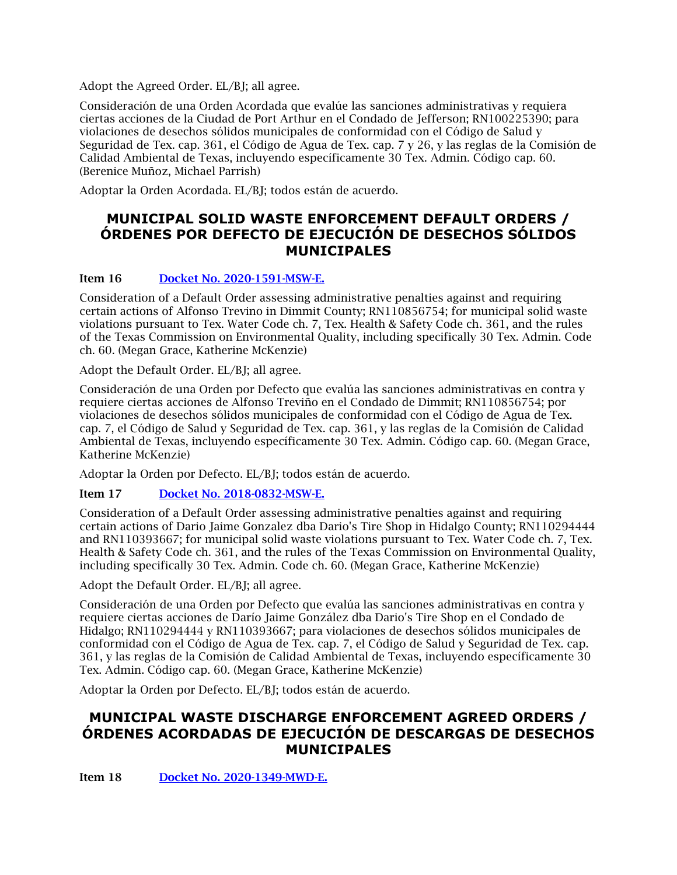Adopt the Agreed Order. EL/BJ; all agree.

Consideración de una Orden Acordada que evalúe las sanciones administrativas y requiera ciertas acciones de la Ciudad de Port Arthur en el Condado de Jefferson; RN100225390; para violaciones de desechos sólidos municipales de conformidad con el Código de Salud y Seguridad de Tex. cap. 361, el Código de Agua de Tex. cap. 7 y 26, y las reglas de la Comisión de Calidad Ambiental de Texas, incluyendo específicamente 30 Tex. Admin. Código cap. 60. (Berenice Muñoz, Michael Parrish)

Adoptar la Orden Acordada. EL/BJ; todos están de acuerdo.

## **MUNICIPAL SOLID WASTE ENFORCEMENT DEFAULT ORDERS / ÓRDENES POR DEFECTO DE EJECUCIÓN DE DESECHOS SÓLIDOS MUNICIPALES**

### Item 16 [Docket No. 2020-1591-MSW-E.](https://www.tceq.texas.gov/downloads/agency/decisions/agendas/backup/2020/2020-1591-msw-e.pdf)

Consideration of a Default Order assessing administrative penalties against and requiring certain actions of Alfonso Trevino in Dimmit County; RN110856754; for municipal solid waste violations pursuant to Tex. Water Code ch. 7, Tex. Health & Safety Code ch. 361, and the rules of the Texas Commission on Environmental Quality, including specifically 30 Tex. Admin. Code ch. 60. (Megan Grace, Katherine McKenzie)

Adopt the Default Order. EL/BJ; all agree.

Consideración de una Orden por Defecto que evalúa las sanciones administrativas en contra y requiere ciertas acciones de Alfonso Treviño en el Condado de Dimmit; RN110856754; por violaciones de desechos sólidos municipales de conformidad con el Código de Agua de Tex. cap. 7, el Código de Salud y Seguridad de Tex. cap. 361, y las reglas de la Comisión de Calidad Ambiental de Texas, incluyendo específicamente 30 Tex. Admin. Código cap. 60. (Megan Grace, Katherine McKenzie)

Adoptar la Orden por Defecto. EL/BJ; todos están de acuerdo.

### Item 17 [Docket No. 2018-0832-MSW-E.](https://www.tceq.texas.gov/downloads/agency/decisions/agendas/backup/2018/2018-0832-msw-e.pdf)

Consideration of a Default Order assessing administrative penalties against and requiring certain actions of Dario Jaime Gonzalez dba Dario's Tire Shop in Hidalgo County; RN110294444 and RN110393667; for municipal solid waste violations pursuant to Tex. Water Code ch. 7, Tex. Health & Safety Code ch. 361, and the rules of the Texas Commission on Environmental Quality, including specifically 30 Tex. Admin. Code ch. 60. (Megan Grace, Katherine McKenzie)

Adopt the Default Order. EL/BJ; all agree.

Consideración de una Orden por Defecto que evalúa las sanciones administrativas en contra y requiere ciertas acciones de Darío Jaime González dba Dario's Tire Shop en el Condado de Hidalgo; RN110294444 y RN110393667; para violaciones de desechos sólidos municipales de conformidad con el Código de Agua de Tex. cap. 7, el Código de Salud y Seguridad de Tex. cap. 361, y las reglas de la Comisión de Calidad Ambiental de Texas, incluyendo específicamente 30 Tex. Admin. Código cap. 60. (Megan Grace, Katherine McKenzie)

Adoptar la Orden por Defecto. EL/BJ; todos están de acuerdo.

# **MUNICIPAL WASTE DISCHARGE ENFORCEMENT AGREED ORDERS / ÓRDENES ACORDADAS DE EJECUCIÓN DE DESCARGAS DE DESECHOS MUNICIPALES**

Item 18 [Docket No. 2020-1349-MWD-E.](https://www.tceq.texas.gov/downloads/agency/decisions/agendas/backup/2020/2020-1349-mwd-e.pdf)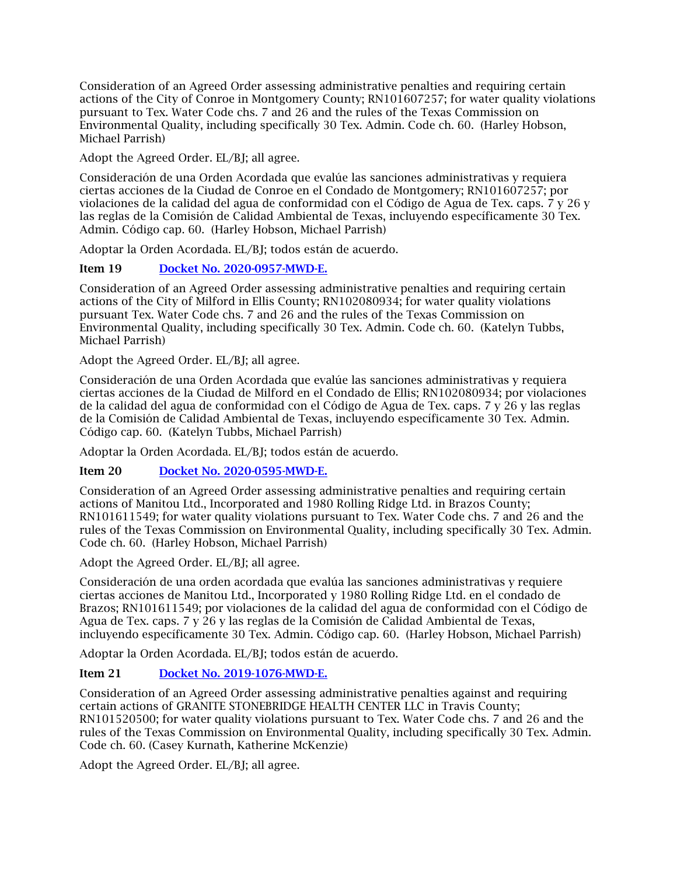Consideration of an Agreed Order assessing administrative penalties and requiring certain actions of the City of Conroe in Montgomery County; RN101607257; for water quality violations pursuant to Tex. Water Code chs. 7 and 26 and the rules of the Texas Commission on Environmental Quality, including specifically 30 Tex. Admin. Code ch. 60. (Harley Hobson, Michael Parrish)

Adopt the Agreed Order. EL/BJ; all agree.

Consideración de una Orden Acordada que evalúe las sanciones administrativas y requiera ciertas acciones de la Ciudad de Conroe en el Condado de Montgomery; RN101607257; por violaciones de la calidad del agua de conformidad con el Código de Agua de Tex. caps. 7 y 26 y las reglas de la Comisión de Calidad Ambiental de Texas, incluyendo específicamente 30 Tex. Admin. Código cap. 60. (Harley Hobson, Michael Parrish)

Adoptar la Orden Acordada. EL/BJ; todos están de acuerdo.

### Item 19 [Docket No. 2020-0957-MWD-E.](https://www.tceq.texas.gov/downloads/agency/decisions/agendas/backup/2020/2020-0957-mwd-e.pdf)

Consideration of an Agreed Order assessing administrative penalties and requiring certain actions of the City of Milford in Ellis County; RN102080934; for water quality violations pursuant Tex. Water Code chs. 7 and 26 and the rules of the Texas Commission on Environmental Quality, including specifically 30 Tex. Admin. Code ch. 60. (Katelyn Tubbs, Michael Parrish)

Adopt the Agreed Order. EL/BJ; all agree.

Consideración de una Orden Acordada que evalúe las sanciones administrativas y requiera ciertas acciones de la Ciudad de Milford en el Condado de Ellis; RN102080934; por violaciones de la calidad del agua de conformidad con el Código de Agua de Tex. caps. 7 y 26 y las reglas de la Comisión de Calidad Ambiental de Texas, incluyendo específicamente 30 Tex. Admin. Código cap. 60. (Katelyn Tubbs, Michael Parrish)

Adoptar la Orden Acordada. EL/BJ; todos están de acuerdo.

Item 20 [Docket No. 2020-0595-MWD-E.](https://www.tceq.texas.gov/downloads/agency/decisions/agendas/backup/2020/2020-0595-mwd-e.pdf)

Consideration of an Agreed Order assessing administrative penalties and requiring certain actions of Manitou Ltd., Incorporated and 1980 Rolling Ridge Ltd. in Brazos County; RN101611549; for water quality violations pursuant to Tex. Water Code chs. 7 and 26 and the rules of the Texas Commission on Environmental Quality, including specifically 30 Tex. Admin. Code ch. 60. (Harley Hobson, Michael Parrish)

Adopt the Agreed Order. EL/BJ; all agree.

Consideración de una orden acordada que evalúa las sanciones administrativas y requiere ciertas acciones de Manitou Ltd., Incorporated y 1980 Rolling Ridge Ltd. en el condado de Brazos; RN101611549; por violaciones de la calidad del agua de conformidad con el Código de Agua de Tex. caps. 7 y 26 y las reglas de la Comisión de Calidad Ambiental de Texas, incluyendo específicamente 30 Tex. Admin. Código cap. 60. (Harley Hobson, Michael Parrish)

Adoptar la Orden Acordada. EL/BJ; todos están de acuerdo.

### Item 21 [Docket No. 2019-1076-MWD-E.](https://www.tceq.texas.gov/downloads/agency/decisions/agendas/backup/2019/2019-1076-mwd-e.pdf)

Consideration of an Agreed Order assessing administrative penalties against and requiring certain actions of GRANITE STONEBRIDGE HEALTH CENTER LLC in Travis County; RN101520500; for water quality violations pursuant to Tex. Water Code chs. 7 and 26 and the rules of the Texas Commission on Environmental Quality, including specifically 30 Tex. Admin. Code ch. 60. (Casey Kurnath, Katherine McKenzie)

Adopt the Agreed Order. EL/BJ; all agree.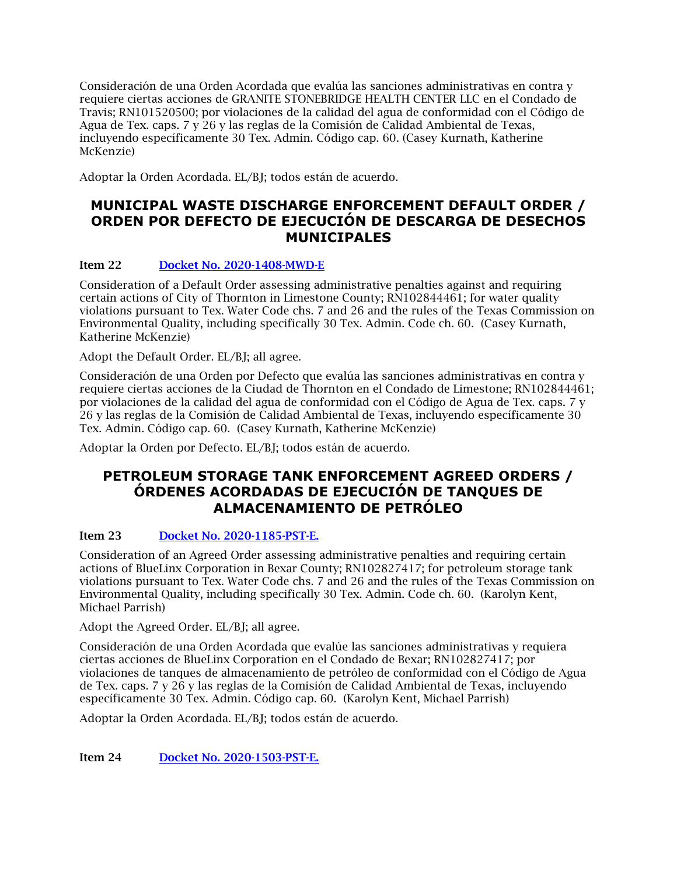Consideración de una Orden Acordada que evalúa las sanciones administrativas en contra y requiere ciertas acciones de GRANITE STONEBRIDGE HEALTH CENTER LLC en el Condado de Travis; RN101520500; por violaciones de la calidad del agua de conformidad con el Código de Agua de Tex. caps. 7 y 26 y las reglas de la Comisión de Calidad Ambiental de Texas, incluyendo específicamente 30 Tex. Admin. Código cap. 60. (Casey Kurnath, Katherine McKenzie)

Adoptar la Orden Acordada. EL/BJ; todos están de acuerdo.

# **MUNICIPAL WASTE DISCHARGE ENFORCEMENT DEFAULT ORDER / ORDEN POR DEFECTO DE EJECUCIÓN DE DESCARGA DE DESECHOS MUNICIPALES**

### Item 22 [Docket No. 2020-1408-MWD-E](https://www.tceq.texas.gov/downloads/agency/decisions/agendas/backup/2020/2020-1408-mwd-e.pdf)

Consideration of a Default Order assessing administrative penalties against and requiring certain actions of City of Thornton in Limestone County; RN102844461; for water quality violations pursuant to Tex. Water Code chs. 7 and 26 and the rules of the Texas Commission on Environmental Quality, including specifically 30 Tex. Admin. Code ch. 60. (Casey Kurnath, Katherine McKenzie)

Adopt the Default Order. EL/BJ; all agree.

Consideración de una Orden por Defecto que evalúa las sanciones administrativas en contra y requiere ciertas acciones de la Ciudad de Thornton en el Condado de Limestone; RN102844461; por violaciones de la calidad del agua de conformidad con el Código de Agua de Tex. caps. 7 y 26 y las reglas de la Comisión de Calidad Ambiental de Texas, incluyendo específicamente 30 Tex. Admin. Código cap. 60. (Casey Kurnath, Katherine McKenzie)

Adoptar la Orden por Defecto. EL/BJ; todos están de acuerdo.

### **PETROLEUM STORAGE TANK ENFORCEMENT AGREED ORDERS / ÓRDENES ACORDADAS DE EJECUCIÓN DE TANQUES DE ALMACENAMIENTO DE PETRÓLEO**

### Item 23 [Docket No. 2020-1185-PST-E.](https://www.tceq.texas.gov/downloads/agency/decisions/agendas/backup/2020/2020-1185-pst-e.pdf)

Consideration of an Agreed Order assessing administrative penalties and requiring certain actions of BlueLinx Corporation in Bexar County; RN102827417; for petroleum storage tank violations pursuant to Tex. Water Code chs. 7 and 26 and the rules of the Texas Commission on Environmental Quality, including specifically 30 Tex. Admin. Code ch. 60. (Karolyn Kent, Michael Parrish)

Adopt the Agreed Order. EL/BJ; all agree.

Consideración de una Orden Acordada que evalúe las sanciones administrativas y requiera ciertas acciones de BlueLinx Corporation en el Condado de Bexar; RN102827417; por violaciones de tanques de almacenamiento de petróleo de conformidad con el Código de Agua de Tex. caps. 7 y 26 y las reglas de la Comisión de Calidad Ambiental de Texas, incluyendo específicamente 30 Tex. Admin. Código cap. 60. (Karolyn Kent, Michael Parrish)

Adoptar la Orden Acordada. EL/BJ; todos están de acuerdo.

Item 24 [Docket No. 2020-1503-PST-E.](https://www.tceq.texas.gov/downloads/agency/decisions/agendas/backup/2020/2020-1503-pst-e.pdf)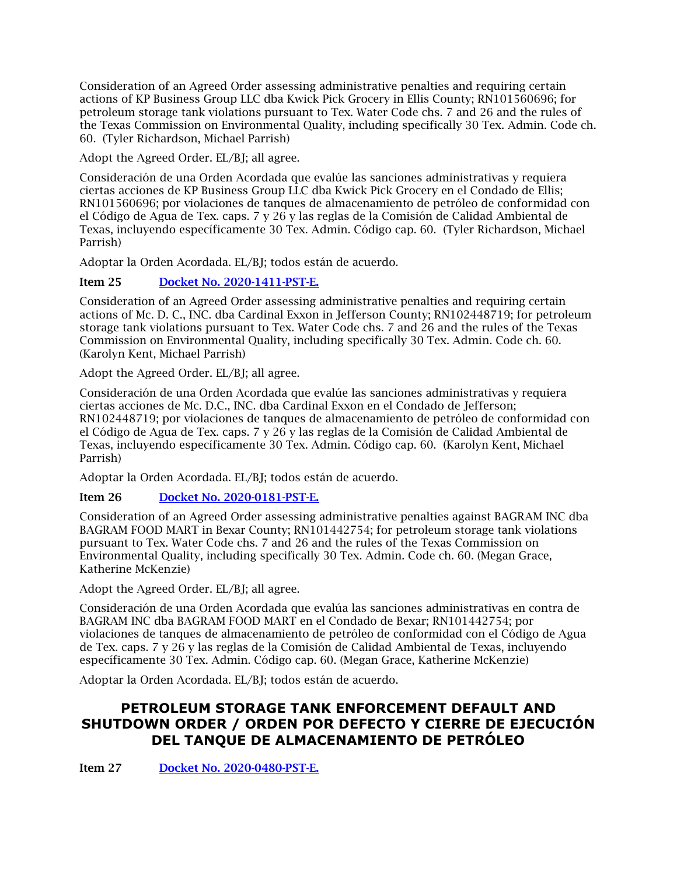Consideration of an Agreed Order assessing administrative penalties and requiring certain actions of KP Business Group LLC dba Kwick Pick Grocery in Ellis County; RN101560696; for petroleum storage tank violations pursuant to Tex. Water Code chs. 7 and 26 and the rules of the Texas Commission on Environmental Quality, including specifically 30 Tex. Admin. Code ch. 60. (Tyler Richardson, Michael Parrish)

Adopt the Agreed Order. EL/BJ; all agree.

Consideración de una Orden Acordada que evalúe las sanciones administrativas y requiera ciertas acciones de KP Business Group LLC dba Kwick Pick Grocery en el Condado de Ellis; RN101560696; por violaciones de tanques de almacenamiento de petróleo de conformidad con el Código de Agua de Tex. caps. 7 y 26 y las reglas de la Comisión de Calidad Ambiental de Texas, incluyendo específicamente 30 Tex. Admin. Código cap. 60. (Tyler Richardson, Michael Parrish)

Adoptar la Orden Acordada. EL/BJ; todos están de acuerdo.

### Item 25 [Docket No. 2020-1411-PST-E.](https://www.tceq.texas.gov/downloads/agency/decisions/agendas/backup/2020/2020-1411-pst-e.pdf)

Consideration of an Agreed Order assessing administrative penalties and requiring certain actions of Mc. D. C., INC. dba Cardinal Exxon in Jefferson County; RN102448719; for petroleum storage tank violations pursuant to Tex. Water Code chs. 7 and 26 and the rules of the Texas Commission on Environmental Quality, including specifically 30 Tex. Admin. Code ch. 60. (Karolyn Kent, Michael Parrish)

Adopt the Agreed Order. EL/BJ; all agree.

Consideración de una Orden Acordada que evalúe las sanciones administrativas y requiera ciertas acciones de Mc. D.C., INC. dba Cardinal Exxon en el Condado de Jefferson; RN102448719; por violaciones de tanques de almacenamiento de petróleo de conformidad con el Código de Agua de Tex. caps. 7 y 26 y las reglas de la Comisión de Calidad Ambiental de Texas, incluyendo específicamente 30 Tex. Admin. Código cap. 60. (Karolyn Kent, Michael Parrish)

Adoptar la Orden Acordada. EL/BJ; todos están de acuerdo.

### Item 26 [Docket No. 2020-0181-PST-E.](https://www.tceq.texas.gov/downloads/agency/decisions/agendas/backup/2020/2020-0181-pst-e.pdf)

Consideration of an Agreed Order assessing administrative penalties against BAGRAM INC dba BAGRAM FOOD MART in Bexar County; RN101442754; for petroleum storage tank violations pursuant to Tex. Water Code chs. 7 and 26 and the rules of the Texas Commission on Environmental Quality, including specifically 30 Tex. Admin. Code ch. 60. (Megan Grace, Katherine McKenzie)

Adopt the Agreed Order. EL/BJ; all agree.

Consideración de una Orden Acordada que evalúa las sanciones administrativas en contra de BAGRAM INC dba BAGRAM FOOD MART en el Condado de Bexar; RN101442754; por violaciones de tanques de almacenamiento de petróleo de conformidad con el Código de Agua de Tex. caps. 7 y 26 y las reglas de la Comisión de Calidad Ambiental de Texas, incluyendo específicamente 30 Tex. Admin. Código cap. 60. (Megan Grace, Katherine McKenzie)

Adoptar la Orden Acordada. EL/BJ; todos están de acuerdo.

# **PETROLEUM STORAGE TANK ENFORCEMENT DEFAULT AND SHUTDOWN ORDER / ORDEN POR DEFECTO Y CIERRE DE EJECUCIÓN DEL TANQUE DE ALMACENAMIENTO DE PETRÓLEO**

Item 27 [Docket No. 2020-0480-PST-E.](https://www.tceq.texas.gov/downloads/agency/decisions/agendas/backup/2020/2020-0480-pst-e.pdf)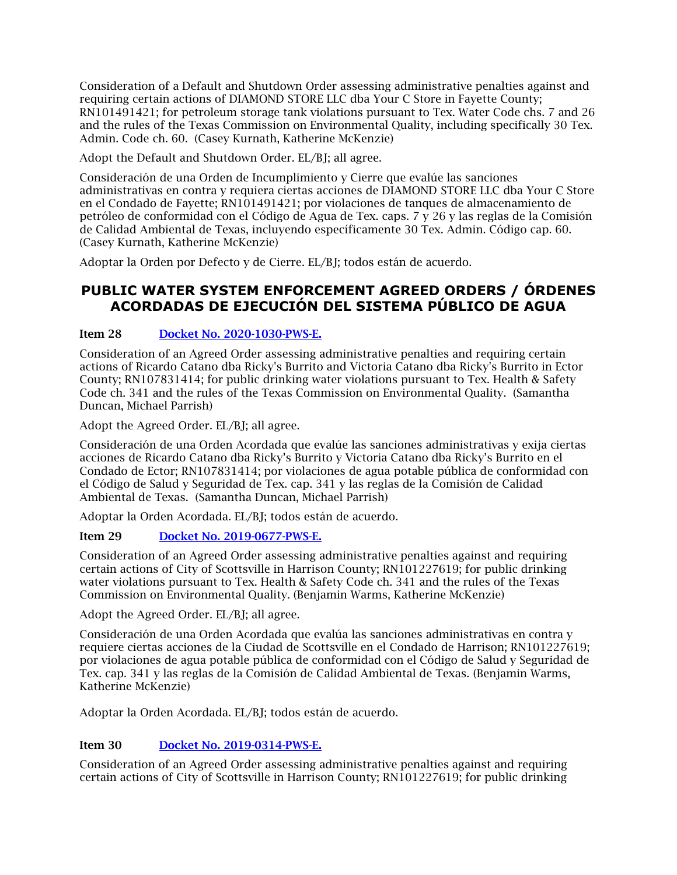Consideration of a Default and Shutdown Order assessing administrative penalties against and requiring certain actions of DIAMOND STORE LLC dba Your C Store in Fayette County; RN101491421; for petroleum storage tank violations pursuant to Tex. Water Code chs. 7 and 26 and the rules of the Texas Commission on Environmental Quality, including specifically 30 Tex. Admin. Code ch. 60. (Casey Kurnath, Katherine McKenzie)

Adopt the Default and Shutdown Order. EL/BJ; all agree.

Consideración de una Orden de Incumplimiento y Cierre que evalúe las sanciones administrativas en contra y requiera ciertas acciones de DIAMOND STORE LLC dba Your C Store en el Condado de Fayette; RN101491421; por violaciones de tanques de almacenamiento de petróleo de conformidad con el Código de Agua de Tex. caps. 7 y 26 y las reglas de la Comisión de Calidad Ambiental de Texas, incluyendo específicamente 30 Tex. Admin. Código cap. 60. (Casey Kurnath, Katherine McKenzie)

Adoptar la Orden por Defecto y de Cierre. EL/BJ; todos están de acuerdo.

# **PUBLIC WATER SYSTEM ENFORCEMENT AGREED ORDERS / ÓRDENES ACORDADAS DE EJECUCIÓN DEL SISTEMA PÚBLICO DE AGUA**

### Item 28 [Docket No. 2020-1030-PWS-E.](https://www.tceq.texas.gov/downloads/agency/decisions/agendas/backup/2020/2020-1030-pws-e.pdf)

Consideration of an Agreed Order assessing administrative penalties and requiring certain actions of Ricardo Catano dba Ricky's Burrito and Victoria Catano dba Ricky's Burrito in Ector County; RN107831414; for public drinking water violations pursuant to Tex. Health & Safety Code ch. 341 and the rules of the Texas Commission on Environmental Quality. (Samantha Duncan, Michael Parrish)

Adopt the Agreed Order. EL/BJ; all agree.

Consideración de una Orden Acordada que evalúe las sanciones administrativas y exija ciertas acciones de Ricardo Catano dba Ricky's Burrito y Victoria Catano dba Ricky's Burrito en el Condado de Ector; RN107831414; por violaciones de agua potable pública de conformidad con el Código de Salud y Seguridad de Tex. cap. 341 y las reglas de la Comisión de Calidad Ambiental de Texas. (Samantha Duncan, Michael Parrish)

Adoptar la Orden Acordada. EL/BJ; todos están de acuerdo.

### Item 29 [Docket No. 2019-0677-PWS-E.](https://www.tceq.texas.gov/downloads/agency/decisions/agendas/backup/2019/2019-0677-pws-e.pdf)

Consideration of an Agreed Order assessing administrative penalties against and requiring certain actions of City of Scottsville in Harrison County; RN101227619; for public drinking water violations pursuant to Tex. Health & Safety Code ch. 341 and the rules of the Texas Commission on Environmental Quality. (Benjamin Warms, Katherine McKenzie)

Adopt the Agreed Order. EL/BJ; all agree.

Consideración de una Orden Acordada que evalúa las sanciones administrativas en contra y requiere ciertas acciones de la Ciudad de Scottsville en el Condado de Harrison; RN101227619; por violaciones de agua potable pública de conformidad con el Código de Salud y Seguridad de Tex. cap. 341 y las reglas de la Comisión de Calidad Ambiental de Texas. (Benjamin Warms, Katherine McKenzie)

Adoptar la Orden Acordada. EL/BJ; todos están de acuerdo.

### Item 30 [Docket No. 2019-0314-PWS-E.](https://www.tceq.texas.gov/downloads/agency/decisions/agendas/backup/2019/2019-0314-pws-e.pdf)

Consideration of an Agreed Order assessing administrative penalties against and requiring certain actions of City of Scottsville in Harrison County; RN101227619; for public drinking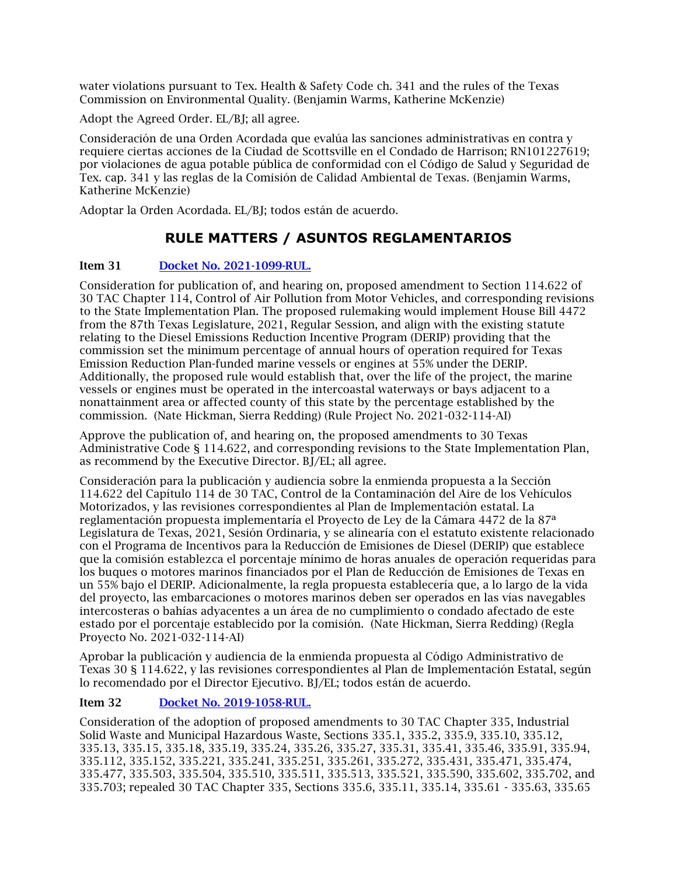water violations pursuant to Tex. Health & Safety Code ch. 341 and the rules of the Texas Commission on Environmental Quality. (Benjamin Warms, Katherine McKenzie)

Adopt the Agreed Order. EL/BJ; all agree.

Consideración de una Orden Acordada que evalúa las sanciones administrativas en contra y requiere ciertas acciones de la Ciudad de Scottsville en el Condado de Harrison; RN101227619; por violaciones de agua potable pública de conformidad con el Código de Salud y Seguridad de Tex. cap. 341 y las reglas de la Comisión de Calidad Ambiental de Texas. (Benjamin Warms, Katherine McKenzie)

Adoptar la Orden Acordada. EL/BJ; todos están de acuerdo.

# **RULE MATTERS / ASUNTOS REGLAMENTARIOS**

### Item 31 [Docket No. 2021-1099-RUL.](https://www.tceq.texas.gov/downloads/agency/decisions/agendas/backup/2021/2021-1099-rul.pdf)

Consideration for publication of, and hearing on, proposed amendment to Section 114.622 of 30 TAC Chapter 114, Control of Air Pollution from Motor Vehicles, and corresponding revisions to the State Implementation Plan. The proposed rulemaking would implement House Bill 4472 from the 87th Texas Legislature, 2021, Regular Session, and align with the existing statute relating to the Diesel Emissions Reduction Incentive Program (DERIP) providing that the commission set the minimum percentage of annual hours of operation required for Texas Emission Reduction Plan-funded marine vessels or engines at 55% under the DERIP. Additionally, the proposed rule would establish that, over the life of the project, the marine vessels or engines must be operated in the intercoastal waterways or bays adjacent to a nonattainment area or affected county of this state by the percentage established by the commission. (Nate Hickman, Sierra Redding) (Rule Project No. 2021-032-114-AI)

Approve the publication of, and hearing on, the proposed amendments to 30 Texas Administrative Code § 114.622, and corresponding revisions to the State Implementation Plan, as recommend by the Executive Director. BJ/EL; all agree.

Consideración para la publicación y audiencia sobre la enmienda propuesta a la Sección 114.622 del Capítulo 114 de 30 TAC, Control de la Contaminación del Aire de los Vehículos Motorizados, y las revisiones correspondientes al Plan de Implementación estatal. La reglamentación propuesta implementaría el Proyecto de Ley de la Cámara 4472 de la 87ª Legislatura de Texas, 2021, Sesión Ordinaria, y se alinearía con el estatuto existente relacionado con el Programa de Incentivos para la Reducción de Emisiones de Diesel (DERIP) que establece que la comisión establezca el porcentaje mínimo de horas anuales de operación requeridas para los buques o motores marinos financiados por el Plan de Reducción de Emisiones de Texas en un 55% bajo el DERIP. Adicionalmente, la regla propuesta establecería que, a lo largo de la vida del proyecto, las embarcaciones o motores marinos deben ser operados en las vías navegables intercosteras o bahías adyacentes a un área de no cumplimiento o condado afectado de este estado por el porcentaje establecido por la comisión. (Nate Hickman, Sierra Redding) (Regla Proyecto No. 2021-032-114-AI)

Aprobar la publicación y audiencia de la enmienda propuesta al Código Administrativo de Texas 30 § 114.622, y las revisiones correspondientes al Plan de Implementación Estatal, según lo recomendado por el Director Ejecutivo. BJ/EL; todos están de acuerdo.

### Item 32 [Docket No. 2019-1058-RUL.](https://www.tceq.texas.gov/downloads/agency/decisions/agendas/backup/2019/2019-1058-rul.pdf)

Consideration of the adoption of proposed amendments to 30 TAC Chapter 335, Industrial Solid Waste and Municipal Hazardous Waste, Sections 335.1, 335.2, 335.9, 335.10, 335.12, 335.13, 335.15, 335.18, 335.19, 335.24, 335.26, 335.27, 335.31, 335.41, 335.46, 335.91, 335.94, 335.112, 335.152, 335.221, 335.241, 335.251, 335.261, 335.272, 335.431, 335.471, 335.474, 335.477, 335.503, 335.504, 335.510, 335.511, 335.513, 335.521, 335.590, 335.602, 335.702, and 335.703; repealed 30 TAC Chapter 335, Sections 335.6, 335.11, 335.14, 335.61 - 335.63, 335.65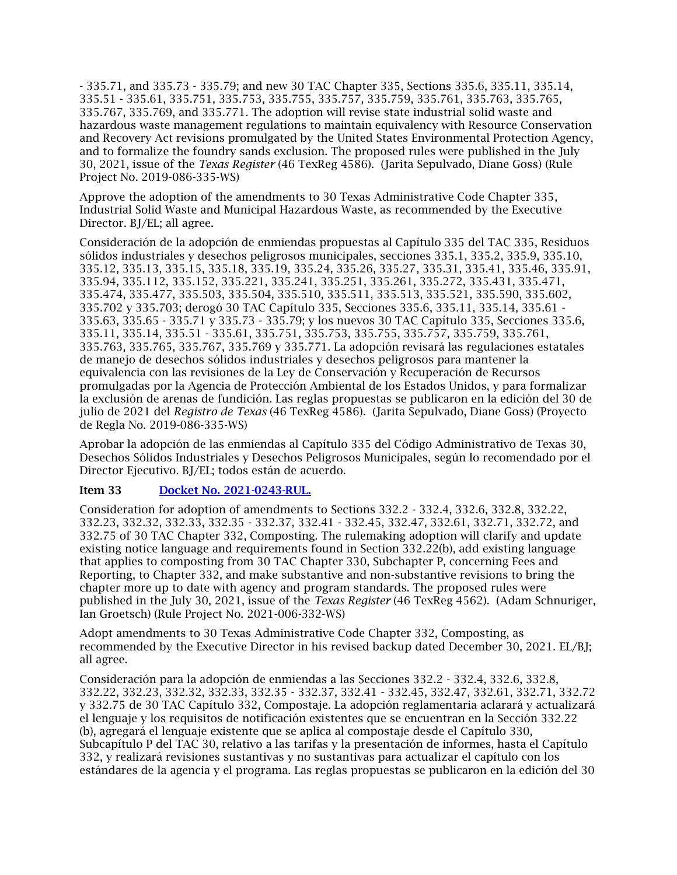- 335.71, and 335.73 - 335.79; and new 30 TAC Chapter 335, Sections 335.6, 335.11, 335.14, 335.51 - 335.61, 335.751, 335.753, 335.755, 335.757, 335.759, 335.761, 335.763, 335.765, 335.767, 335.769, and 335.771. The adoption will revise state industrial solid waste and hazardous waste management regulations to maintain equivalency with Resource Conservation and Recovery Act revisions promulgated by the United States Environmental Protection Agency, and to formalize the foundry sands exclusion. The proposed rules were published in the July 30, 2021, issue of the *Texas Register* (46 TexReg 4586). (Jarita Sepulvado, Diane Goss) (Rule Project No. 2019-086-335-WS)

Approve the adoption of the amendments to 30 Texas Administrative Code Chapter 335, Industrial Solid Waste and Municipal Hazardous Waste, as recommended by the Executive Director. BJ/EL; all agree.

Consideración de la adopción de enmiendas propuestas al Capítulo 335 del TAC 335, Residuos sólidos industriales y desechos peligrosos municipales, secciones 335.1, 335.2, 335.9, 335.10, 335.12, 335.13, 335.15, 335.18, 335.19, 335.24, 335.26, 335.27, 335.31, 335.41, 335.46, 335.91, 335.94, 335.112, 335.152, 335.221, 335.241, 335.251, 335.261, 335.272, 335.431, 335.471, 335.474, 335.477, 335.503, 335.504, 335.510, 335.511, 335.513, 335.521, 335.590, 335.602, 335.702 y 335.703; derogó 30 TAC Capítulo 335, Secciones 335.6, 335.11, 335.14, 335.61 - 335.63, 335.65 - 335.71 y 335.73 - 335.79; y los nuevos 30 TAC Capítulo 335, Secciones 335.6, 335.11, 335.14, 335.51 - 335.61, 335.751, 335.753, 335.755, 335.757, 335.759, 335.761, 335.763, 335.765, 335.767, 335.769 y 335.771. La adopción revisará las regulaciones estatales de manejo de desechos sólidos industriales y desechos peligrosos para mantener la equivalencia con las revisiones de la Ley de Conservación y Recuperación de Recursos promulgadas por la Agencia de Protección Ambiental de los Estados Unidos, y para formalizar la exclusión de arenas de fundición. Las reglas propuestas se publicaron en la edición del 30 de julio de 2021 del *Registro de Texas* (46 TexReg 4586). (Jarita Sepulvado, Diane Goss) (Proyecto de Regla No. 2019-086-335-WS)

Aprobar la adopción de las enmiendas al Capítulo 335 del Código Administrativo de Texas 30, Desechos Sólidos Industriales y Desechos Peligrosos Municipales, según lo recomendado por el Director Ejecutivo. BJ/EL; todos están de acuerdo.

#### Item 33 [Docket No. 2021-0243-RUL.](https://www.tceq.texas.gov/downloads/agency/decisions/agendas/backup/2021/2021-0243-rul.pdf)

Consideration for adoption of amendments to Sections 332.2 - 332.4, 332.6, 332.8, 332.22, 332.23, 332.32, 332.33, 332.35 - 332.37, 332.41 - 332.45, 332.47, 332.61, 332.71, 332.72, and 332.75 of 30 TAC Chapter 332, Composting. The rulemaking adoption will clarify and update existing notice language and requirements found in Section 332.22(b), add existing language that applies to composting from 30 TAC Chapter 330, Subchapter P, concerning Fees and Reporting, to Chapter 332, and make substantive and non-substantive revisions to bring the chapter more up to date with agency and program standards. The proposed rules were published in the July 30, 2021, issue of the *Texas Register* (46 TexReg 4562). (Adam Schnuriger, Ian Groetsch) (Rule Project No. 2021-006-332-WS)

Adopt amendments to 30 Texas Administrative Code Chapter 332, Composting, as recommended by the Executive Director in his revised backup dated December 30, 2021. EL/BJ; all agree.

Consideración para la adopción de enmiendas a las Secciones 332.2 - 332.4, 332.6, 332.8, 332.22, 332.23, 332.32, 332.33, 332.35 - 332.37, 332.41 - 332.45, 332.47, 332.61, 332.71, 332.72 y 332.75 de 30 TAC Capítulo 332, Compostaje. La adopción reglamentaria aclarará y actualizará el lenguaje y los requisitos de notificación existentes que se encuentran en la Sección 332.22 (b), agregará el lenguaje existente que se aplica al compostaje desde el Capítulo 330, Subcapítulo P del TAC 30, relativo a las tarifas y la presentación de informes, hasta el Capítulo 332, y realizará revisiones sustantivas y no sustantivas para actualizar el capítulo con los estándares de la agencia y el programa. Las reglas propuestas se publicaron en la edición del 30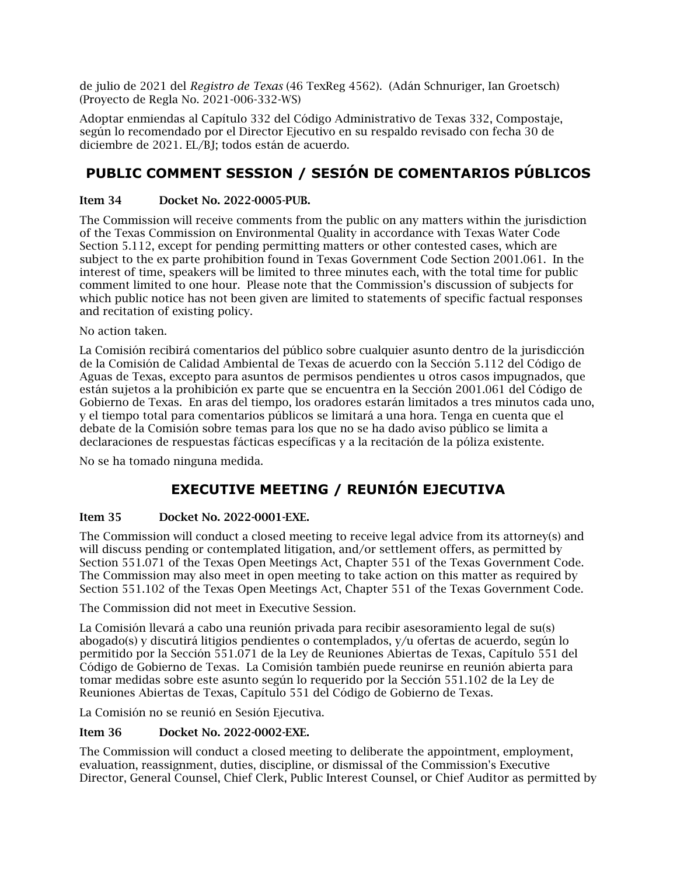de julio de 2021 del *Registro de Texas* (46 TexReg 4562). (Adán Schnuriger, Ian Groetsch) (Proyecto de Regla No. 2021-006-332-WS)

Adoptar enmiendas al Capítulo 332 del Código Administrativo de Texas 332, Compostaje, según lo recomendado por el Director Ejecutivo en su respaldo revisado con fecha 30 de diciembre de 2021. EL/BJ; todos están de acuerdo.

# **PUBLIC COMMENT SESSION / SESIÓN DE COMENTARIOS PÚBLICOS**

#### Item 34 Docket No. 2022-0005-PUB.

The Commission will receive comments from the public on any matters within the jurisdiction of the Texas Commission on Environmental Quality in accordance with Texas Water Code Section 5.112, except for pending permitting matters or other contested cases, which are subject to the ex parte prohibition found in Texas Government Code Section 2001.061. In the interest of time, speakers will be limited to three minutes each, with the total time for public comment limited to one hour. Please note that the Commission's discussion of subjects for which public notice has not been given are limited to statements of specific factual responses and recitation of existing policy.

No action taken.

La Comisión recibirá comentarios del público sobre cualquier asunto dentro de la jurisdicción de la Comisión de Calidad Ambiental de Texas de acuerdo con la Sección 5.112 del Código de Aguas de Texas, excepto para asuntos de permisos pendientes u otros casos impugnados, que están sujetos a la prohibición ex parte que se encuentra en la Sección 2001.061 del Código de Gobierno de Texas. En aras del tiempo, los oradores estarán limitados a tres minutos cada uno, y el tiempo total para comentarios públicos se limitará a una hora. Tenga en cuenta que el debate de la Comisión sobre temas para los que no se ha dado aviso público se limita a declaraciones de respuestas fácticas específicas y a la recitación de la póliza existente.

No se ha tomado ninguna medida.

# **EXECUTIVE MEETING / REUNIÓN EJECUTIVA**

### Item 35 Docket No. 2022-0001-EXE.

The Commission will conduct a closed meeting to receive legal advice from its attorney(s) and will discuss pending or contemplated litigation, and/or settlement offers, as permitted by Section 551.071 of the Texas Open Meetings Act, Chapter 551 of the Texas Government Code. The Commission may also meet in open meeting to take action on this matter as required by Section 551.102 of the Texas Open Meetings Act, Chapter 551 of the Texas Government Code.

The Commission did not meet in Executive Session.

La Comisión llevará a cabo una reunión privada para recibir asesoramiento legal de su(s) abogado(s) y discutirá litigios pendientes o contemplados, y/u ofertas de acuerdo, según lo permitido por la Sección 551.071 de la Ley de Reuniones Abiertas de Texas, Capítulo 551 del Código de Gobierno de Texas. La Comisión también puede reunirse en reunión abierta para tomar medidas sobre este asunto según lo requerido por la Sección 551.102 de la Ley de Reuniones Abiertas de Texas, Capítulo 551 del Código de Gobierno de Texas.

La Comisión no se reunió en Sesión Ejecutiva.

#### Item 36 Docket No. 2022-0002-EXE.

The Commission will conduct a closed meeting to deliberate the appointment, employment, evaluation, reassignment, duties, discipline, or dismissal of the Commission's Executive Director, General Counsel, Chief Clerk, Public Interest Counsel, or Chief Auditor as permitted by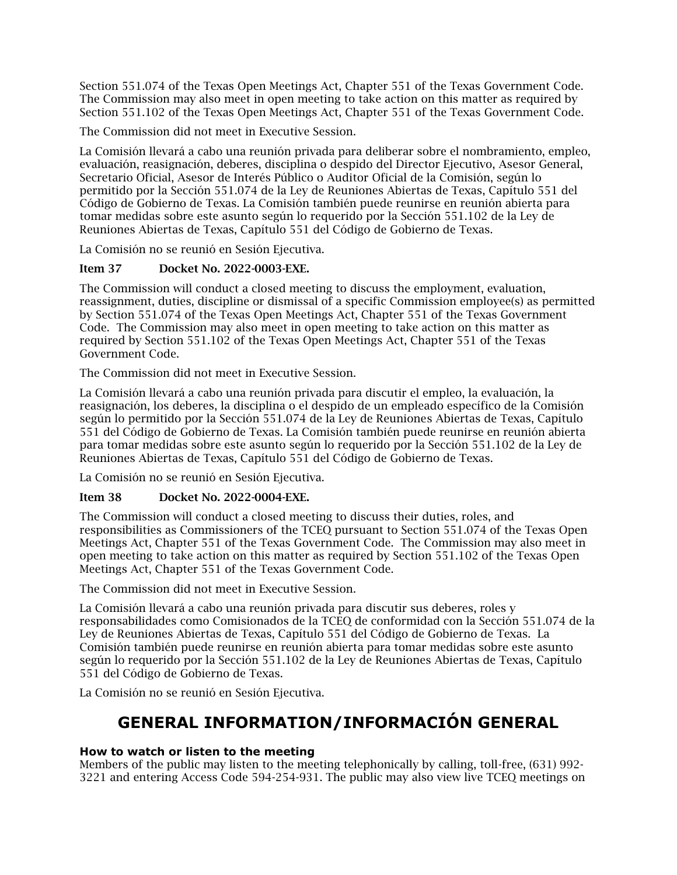Section 551.074 of the Texas Open Meetings Act, Chapter 551 of the Texas Government Code. The Commission may also meet in open meeting to take action on this matter as required by Section 551.102 of the Texas Open Meetings Act, Chapter 551 of the Texas Government Code.

The Commission did not meet in Executive Session.

La Comisión llevará a cabo una reunión privada para deliberar sobre el nombramiento, empleo, evaluación, reasignación, deberes, disciplina o despido del Director Ejecutivo, Asesor General, Secretario Oficial, Asesor de Interés Público o Auditor Oficial de la Comisión, según lo permitido por la Sección 551.074 de la Ley de Reuniones Abiertas de Texas, Capítulo 551 del Código de Gobierno de Texas. La Comisión también puede reunirse en reunión abierta para tomar medidas sobre este asunto según lo requerido por la Sección 551.102 de la Ley de Reuniones Abiertas de Texas, Capítulo 551 del Código de Gobierno de Texas.

La Comisión no se reunió en Sesión Ejecutiva.

### Item 37 Docket No. 2022-0003-EXE.

The Commission will conduct a closed meeting to discuss the employment, evaluation, reassignment, duties, discipline or dismissal of a specific Commission employee(s) as permitted by Section 551.074 of the Texas Open Meetings Act, Chapter 551 of the Texas Government Code. The Commission may also meet in open meeting to take action on this matter as required by Section 551.102 of the Texas Open Meetings Act, Chapter 551 of the Texas Government Code.

The Commission did not meet in Executive Session.

La Comisión llevará a cabo una reunión privada para discutir el empleo, la evaluación, la reasignación, los deberes, la disciplina o el despido de un empleado específico de la Comisión según lo permitido por la Sección 551.074 de la Ley de Reuniones Abiertas de Texas, Capítulo 551 del Código de Gobierno de Texas. La Comisión también puede reunirse en reunión abierta para tomar medidas sobre este asunto según lo requerido por la Sección 551.102 de la Ley de Reuniones Abiertas de Texas, Capítulo 551 del Código de Gobierno de Texas.

La Comisión no se reunió en Sesión Ejecutiva.

### Item 38 Docket No. 2022-0004-EXE.

The Commission will conduct a closed meeting to discuss their duties, roles, and responsibilities as Commissioners of the TCEQ pursuant to Section 551.074 of the Texas Open Meetings Act, Chapter 551 of the Texas Government Code. The Commission may also meet in open meeting to take action on this matter as required by Section 551.102 of the Texas Open Meetings Act, Chapter 551 of the Texas Government Code.

The Commission did not meet in Executive Session.

La Comisión llevará a cabo una reunión privada para discutir sus deberes, roles y responsabilidades como Comisionados de la TCEQ de conformidad con la Sección 551.074 de la Ley de Reuniones Abiertas de Texas, Capítulo 551 del Código de Gobierno de Texas. La Comisión también puede reunirse en reunión abierta para tomar medidas sobre este asunto según lo requerido por la Sección 551.102 de la Ley de Reuniones Abiertas de Texas, Capítulo 551 del Código de Gobierno de Texas.

<span id="page-15-0"></span>La Comisión no se reunió en Sesión Ejecutiva.

# **GENERAL INFORMATION/INFORMACIÓN GENERAL**

### **How to watch or listen to the meeting**

Members of the public may listen to the meeting telephonically by calling, toll-free, (631) 992- 3221 and entering Access Code 594-254-931. The public may also view live TCEQ meetings on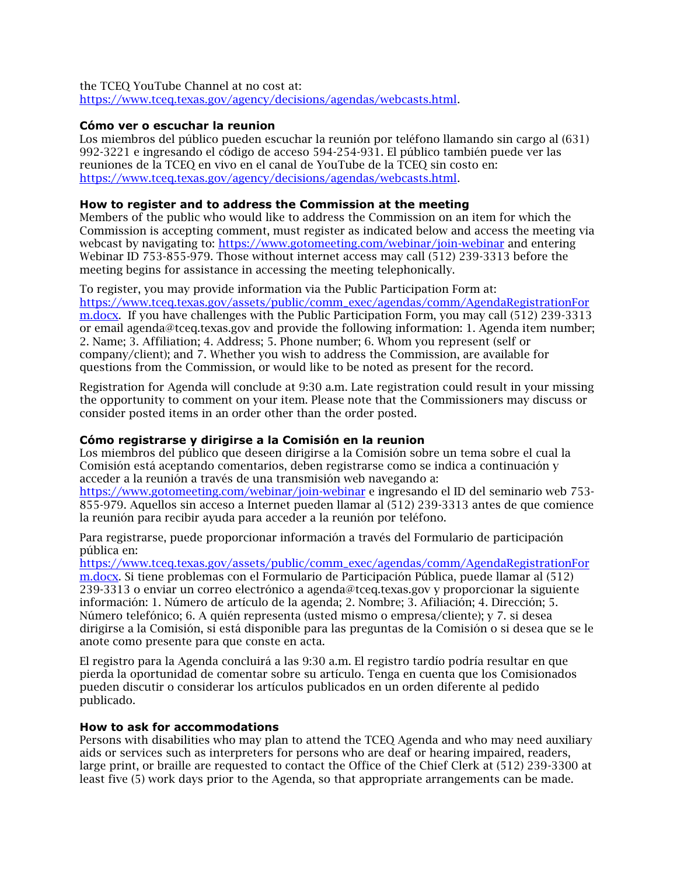the TCEQ YouTube Channel at no cost at: [https://www.tceq.texas.gov/agency/decisions/agendas/webcasts.html.](https://www.tceq.texas.gov/agency/decisions/agendas/webcasts.html)

#### **Cómo ver o escuchar la reunion**

Los miembros del público pueden escuchar la reunión por teléfono llamando sin cargo al (631) 992-3221 e ingresando el código de acceso 594-254-931. El público también puede ver las reuniones de la TCEQ en vivo en el canal de YouTube de la TCEQ sin costo en: [https://www.tceq.texas.gov/agency/decisions/agendas/webcasts.html.](https://www.tceq.texas.gov/agency/decisions/agendas/webcasts.html)

#### **How to register and to address the Commission at the meeting**

Members of the public who would like to address the Commission on an item for which the Commission is accepting comment, must register as indicated below and access the meeting via webcast by navigating to:<https://www.gotomeeting.com/webinar/join-webinar> and entering Webinar ID 753-855-979. Those without internet access may call (512) 239-3313 before the meeting begins for assistance in accessing the meeting telephonically.

To register, you may provide information via the Public Participation Form at: [https://www.tceq.texas.gov/assets/public/comm\\_exec/agendas/comm/AgendaRegistrationFor](https://www.tceq.texas.gov/assets/public/comm_exec/agendas/comm/AgendaRegistrationForm.docx) [m.docx.](https://www.tceq.texas.gov/assets/public/comm_exec/agendas/comm/AgendaRegistrationForm.docx) If you have challenges with the Public Participation Form, you may call (512) 239-3313 or email agenda@tceq.texas.gov and provide the following information: 1. Agenda item number; 2. Name; 3. Affiliation; 4. Address; 5. Phone number; 6. Whom you represent (self or company/client); and 7. Whether you wish to address the Commission, are available for questions from the Commission, or would like to be noted as present for the record.

Registration for Agenda will conclude at 9:30 a.m. Late registration could result in your missing the opportunity to comment on your item. Please note that the Commissioners may discuss or consider posted items in an order other than the order posted.

#### **Cómo registrarse y dirigirse a la Comisión en la reunion**

Los miembros del público que deseen dirigirse a la Comisión sobre un tema sobre el cual la Comisión está aceptando comentarios, deben registrarse como se indica a continuación y acceder a la reunión a través de una transmisión web navegando a: <https://www.gotomeeting.com/webinar/join-webinar> e ingresando el ID del seminario web 753- 855-979. Aquellos sin acceso a Internet pueden llamar al (512) 239-3313 antes de que comience la reunión para recibir ayuda para acceder a la reunión por teléfono.

Para registrarse, puede proporcionar información a través del Formulario de participación pública en:

[https://www.tceq.texas.gov/assets/public/comm\\_exec/agendas/comm/AgendaRegistrationFor](https://www.tceq.texas.gov/assets/public/comm_exec/agendas/comm/AgendaRegistrationForm.docx) [m.docx.](https://www.tceq.texas.gov/assets/public/comm_exec/agendas/comm/AgendaRegistrationForm.docx) Si tiene problemas con el Formulario de Participación Pública, puede llamar al (512) 239-3313 o enviar un correo electrónico a agenda@tceq.texas.gov y proporcionar la siguiente información: 1. Número de artículo de la agenda; 2. Nombre; 3. Afiliación; 4. Dirección; 5. Número telefónico; 6. A quién representa (usted mismo o empresa/cliente); y 7. si desea dirigirse a la Comisión, si está disponible para las preguntas de la Comisión o si desea que se le anote como presente para que conste en acta.

El registro para la Agenda concluirá a las 9:30 a.m. El registro tardío podría resultar en que pierda la oportunidad de comentar sobre su artículo. Tenga en cuenta que los Comisionados pueden discutir o considerar los artículos publicados en un orden diferente al pedido publicado.

#### **How to ask for accommodations**

Persons with disabilities who may plan to attend the TCEQ Agenda and who may need auxiliary aids or services such as interpreters for persons who are deaf or hearing impaired, readers, large print, or braille are requested to contact the Office of the Chief Clerk at (512) 239-3300 at least five (5) work days prior to the Agenda, so that appropriate arrangements can be made.